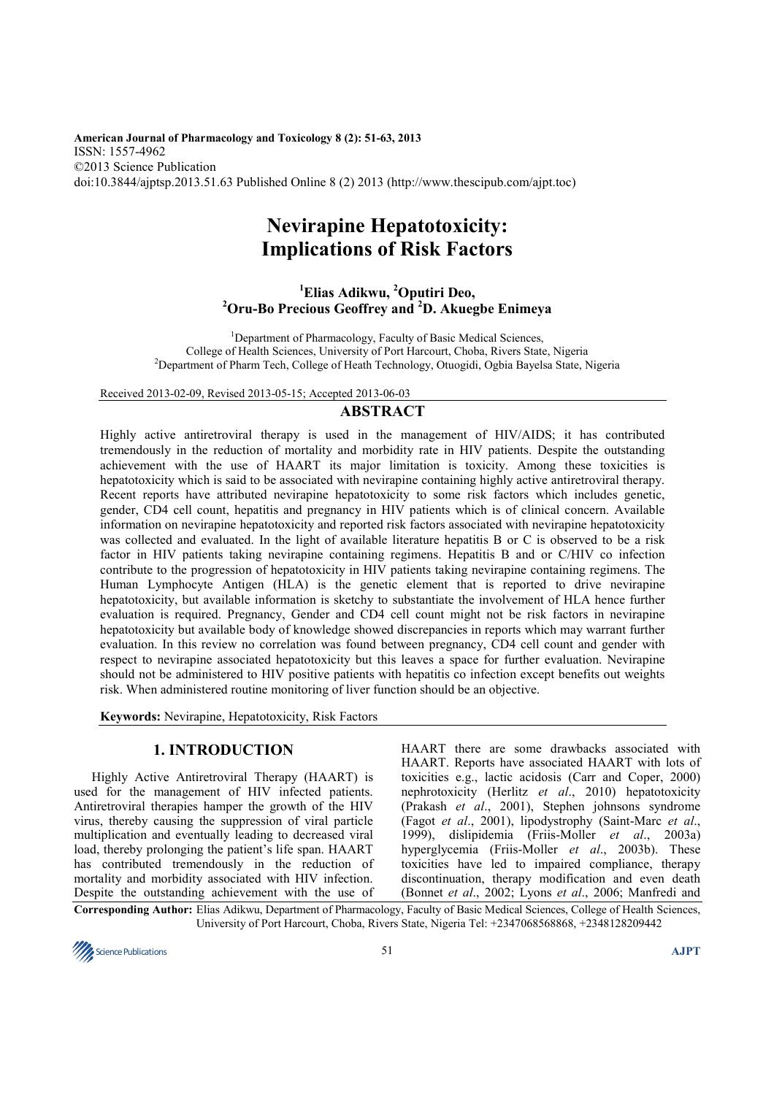**American Journal of Pharmacology and Toxicology 8 (2): 51-63, 2013**  ISSN: 1557-4962 ©2013 Science Publication doi:10.3844/ajptsp.2013.51.63 Published Online 8 (2) 2013 (http://www.thescipub.com/ajpt.toc)

# **Nevirapine Hepatotoxicity: Implications of Risk Factors**

**<sup>1</sup>Elias Adikwu, <sup>2</sup>Oputiri Deo, <sup>2</sup>Oru-Bo Precious Geoffrey and <sup>2</sup>D. Akuegbe Enimeya** 

<sup>1</sup>Department of Pharmacology, Faculty of Basic Medical Sciences, College of Health Sciences, University of Port Harcourt, Choba, Rivers State, Nigeria <sup>2</sup>Department of Pharm Tech, College of Heath Technology, Otuogidi, Ogbia Bayelsa State, Nigeria

Received 2013-02-09, Revised 2013-05-15; Accepted 2013-06-03

## **ABSTRACT**

Highly active antiretroviral therapy is used in the management of HIV/AIDS; it has contributed tremendously in the reduction of mortality and morbidity rate in HIV patients. Despite the outstanding achievement with the use of HAART its major limitation is toxicity. Among these toxicities is hepatotoxicity which is said to be associated with nevirapine containing highly active antiretroviral therapy. Recent reports have attributed nevirapine hepatotoxicity to some risk factors which includes genetic, gender, CD4 cell count, hepatitis and pregnancy in HIV patients which is of clinical concern. Available information on nevirapine hepatotoxicity and reported risk factors associated with nevirapine hepatotoxicity was collected and evaluated. In the light of available literature hepatitis B or C is observed to be a risk factor in HIV patients taking nevirapine containing regimens. Hepatitis B and or C/HIV co infection contribute to the progression of hepatotoxicity in HIV patients taking nevirapine containing regimens. The Human Lymphocyte Antigen (HLA) is the genetic element that is reported to drive nevirapine hepatotoxicity, but available information is sketchy to substantiate the involvement of HLA hence further evaluation is required. Pregnancy, Gender and CD4 cell count might not be risk factors in nevirapine hepatotoxicity but available body of knowledge showed discrepancies in reports which may warrant further evaluation. In this review no correlation was found between pregnancy, CD4 cell count and gender with respect to nevirapine associated hepatotoxicity but this leaves a space for further evaluation. Nevirapine should not be administered to HIV positive patients with hepatitis co infection except benefits out weights risk. When administered routine monitoring of liver function should be an objective.

**Keywords:** Nevirapine, Hepatotoxicity, Risk Factors

## **1. INTRODUCTION**

Highly Active Antiretroviral Therapy (HAART) is used for the management of HIV infected patients. Antiretroviral therapies hamper the growth of the HIV virus, thereby causing the suppression of viral particle multiplication and eventually leading to decreased viral load, thereby prolonging the patient's life span. HAART has contributed tremendously in the reduction of mortality and morbidity associated with HIV infection. Despite the outstanding achievement with the use of HAART there are some drawbacks associated with HAART. Reports have associated HAART with lots of toxicities e.g., lactic acidosis (Carr and Coper, 2000) nephrotoxicity (Herlitz *et al*., 2010) hepatotoxicity (Prakash *et al*., 2001), Stephen johnsons syndrome (Fagot *et al*., 2001), lipodystrophy (Saint-Marc *et al*., 1999), dislipidemia (Friis-Moller *et al*., 2003a) hyperglycemia (Friis-Moller *et al*., 2003b). These toxicities have led to impaired compliance, therapy discontinuation, therapy modification and even death (Bonnet *et al*., 2002; Lyons *et al*., 2006; Manfredi and

**Corresponding Author:** Elias Adikwu, Department of Pharmacology, Faculty of Basic Medical Sciences, College of Health Sciences, University of Port Harcourt, Choba, Rivers State, Nigeria Tel: +2347068568868, +2348128209442

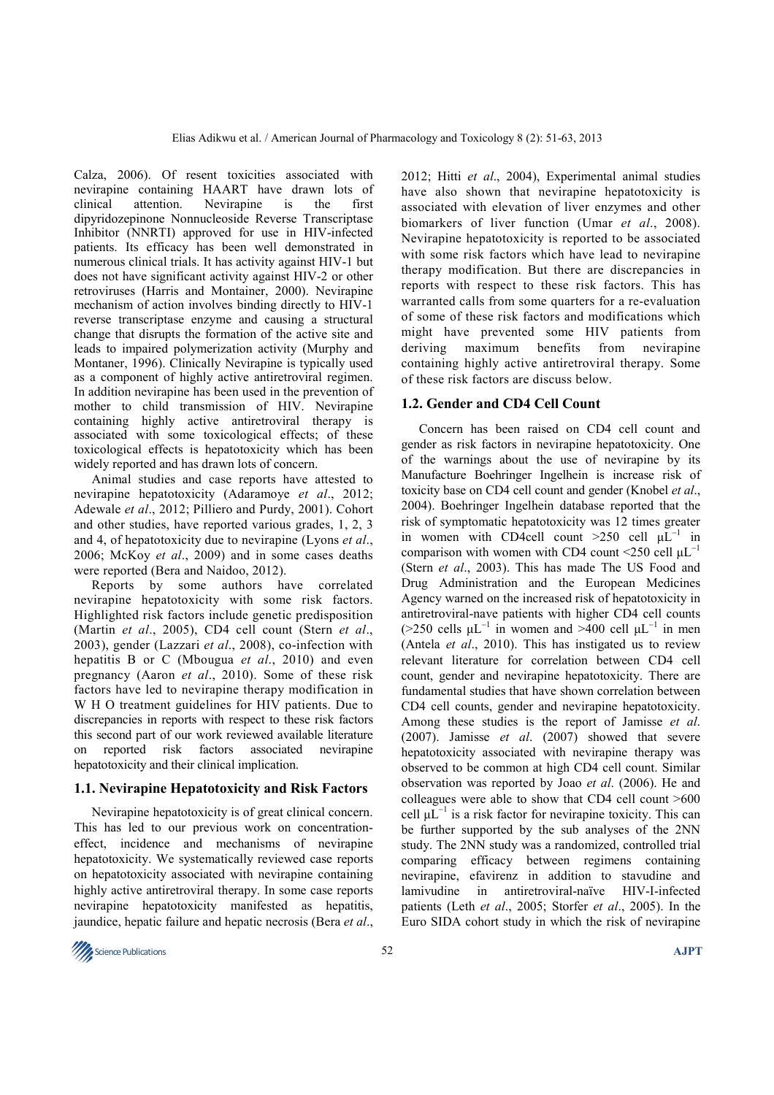Calza, 2006). Of resent toxicities associated with nevirapine containing HAART have drawn lots of clinical attention. Nevirapine is the first dipyridozepinone Nonnucleoside Reverse Transcriptase Inhibitor (NNRTI) approved for use in HIV-infected patients. Its efficacy has been well demonstrated in numerous clinical trials. It has activity against HIV-1 but does not have significant activity against HIV-2 or other retroviruses (Harris and Montainer, 2000). Nevirapine mechanism of action involves binding directly to HIV-1 reverse transcriptase enzyme and causing a structural change that disrupts the formation of the active site and leads to impaired polymerization activity (Murphy and Montaner, 1996). Clinically Nevirapine is typically used as a component of highly active antiretroviral regimen. In addition nevirapine has been used in the prevention of mother to child transmission of HIV. Nevirapine containing highly active antiretroviral therapy is associated with some toxicological effects; of these toxicological effects is hepatotoxicity which has been widely reported and has drawn lots of concern.

Animal studies and case reports have attested to nevirapine hepatotoxicity (Adaramoye *et al*., 2012; Adewale *et al*., 2012; Pilliero and Purdy, 2001). Cohort and other studies, have reported various grades, 1, 2, 3 and 4, of hepatotoxicity due to nevirapine (Lyons *et al*., 2006; McKoy *et al*., 2009) and in some cases deaths were reported (Bera and Naidoo, 2012).

Reports by some authors have correlated nevirapine hepatotoxicity with some risk factors. Highlighted risk factors include genetic predisposition (Martin *et al*., 2005), CD4 cell count (Stern *et al*., 2003), gender (Lazzari *et al*., 2008), co-infection with hepatitis B or C (Mbougua *et al*., 2010) and even pregnancy (Aaron *et al*., 2010). Some of these risk factors have led to nevirapine therapy modification in W H O treatment guidelines for HIV patients. Due to discrepancies in reports with respect to these risk factors this second part of our work reviewed available literature on reported risk factors associated nevirapine hepatotoxicity and their clinical implication.

#### **1.1. Nevirapine Hepatotoxicity and Risk Factors**

Nevirapine hepatotoxicity is of great clinical concern. This has led to our previous work on concentrationeffect, incidence and mechanisms of nevirapine hepatotoxicity. We systematically reviewed case reports on hepatotoxicity associated with nevirapine containing highly active antiretroviral therapy. In some case reports nevirapine hepatotoxicity manifested as hepatitis, jaundice, hepatic failure and hepatic necrosis (Bera *et al*.,

2012; Hitti *et al*., 2004), Experimental animal studies have also shown that nevirapine hepatotoxicity is associated with elevation of liver enzymes and other biomarkers of liver function (Umar *et al*., 2008). Nevirapine hepatotoxicity is reported to be associated with some risk factors which have lead to nevirapine therapy modification. But there are discrepancies in reports with respect to these risk factors. This has warranted calls from some quarters for a re-evaluation of some of these risk factors and modifications which might have prevented some HIV patients from deriving maximum benefits from nevirapine containing highly active antiretroviral therapy. Some of these risk factors are discuss below.

#### **1.2. Gender and CD4 Cell Count**

Concern has been raised on CD4 cell count and gender as risk factors in nevirapine hepatotoxicity. One of the warnings about the use of nevirapine by its Manufacture Boehringer Ingelhein is increase risk of toxicity base on CD4 cell count and gender (Knobel *et al*., 2004). Boehringer Ingelhein database reported that the risk of symptomatic hepatotoxicity was 12 times greater in women with CD4cell count >250 cell  $\mu L^{-1}$  in comparison with women with CD4 count <250 cell  $\mu L^{-1}$ (Stern *et al*., 2003). This has made The US Food and Drug Administration and the European Medicines Agency warned on the increased risk of hepatotoxicity in antiretroviral-nave patients with higher CD4 cell counts (>250 cells  $\mu L^{-1}$  in women and >400 cell  $\mu L^{-1}$  in men (Antela *et al*., 2010). This has instigated us to review relevant literature for correlation between CD4 cell count, gender and nevirapine hepatotoxicity. There are fundamental studies that have shown correlation between CD4 cell counts, gender and nevirapine hepatotoxicity. Among these studies is the report of Jamisse *et al*. (2007). Jamisse *et al*. (2007) showed that severe hepatotoxicity associated with nevirapine therapy was observed to be common at high CD4 cell count. Similar observation was reported by Joao *et al*. (2006). He and colleagues were able to show that CD4 cell count >600 cell  $\mu L^{-1}$  is a risk factor for nevirapine toxicity. This can be further supported by the sub analyses of the 2NN study. The 2NN study was a randomized, controlled trial comparing efficacy between regimens containing nevirapine, efavirenz in addition to stavudine and lamivudine in antiretroviral-naïve HIV-I-infected patients (Leth *et al*., 2005; Storfer *et al*., 2005). In the Euro SIDA cohort study in which the risk of nevirapine

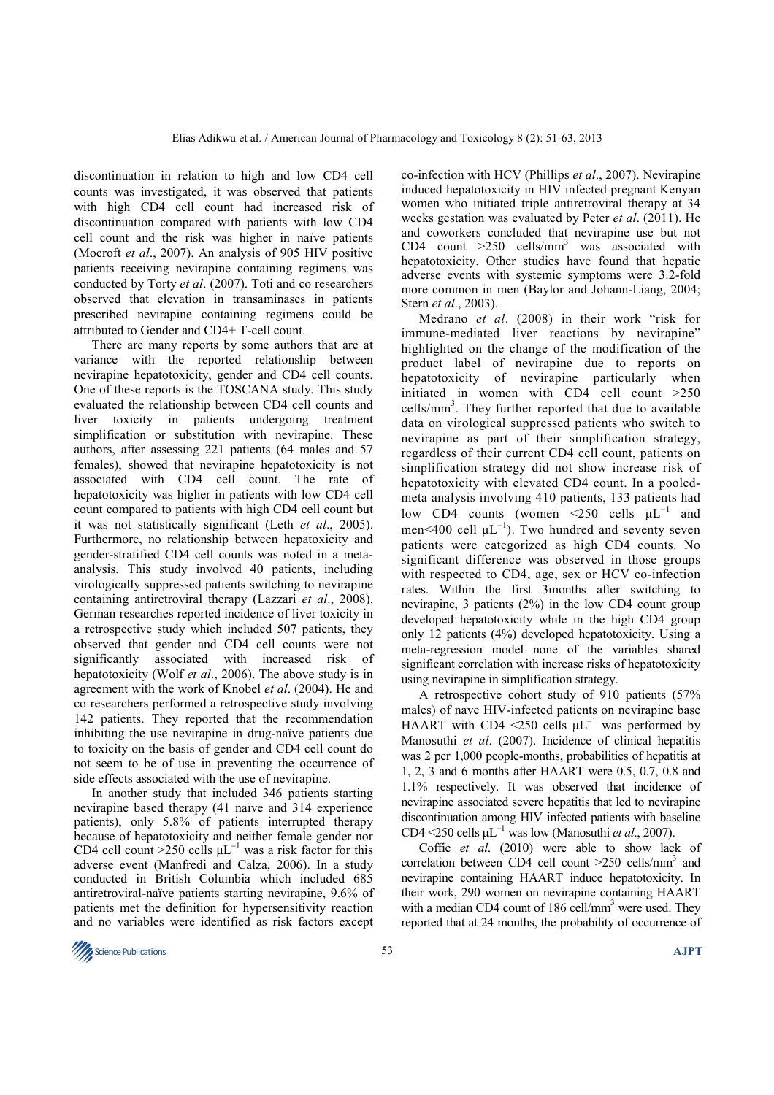discontinuation in relation to high and low CD4 cell counts was investigated, it was observed that patients with high CD4 cell count had increased risk of discontinuation compared with patients with low CD4 cell count and the risk was higher in naïve patients (Mocroft *et al*., 2007). An analysis of 905 HIV positive patients receiving nevirapine containing regimens was conducted by Torty *et al*. (2007). Toti and co researchers observed that elevation in transaminases in patients prescribed nevirapine containing regimens could be attributed to Gender and CD4+ T-cell count.

There are many reports by some authors that are at variance with the reported relationship between nevirapine hepatotoxicity, gender and CD4 cell counts. One of these reports is the TOSCANA study. This study evaluated the relationship between CD4 cell counts and liver toxicity in patients undergoing treatment simplification or substitution with nevirapine. These authors, after assessing 221 patients (64 males and 57 females), showed that nevirapine hepatotoxicity is not associated with CD4 cell count. The rate of hepatotoxicity was higher in patients with low CD4 cell count compared to patients with high CD4 cell count but it was not statistically significant (Leth *et al*., 2005). Furthermore, no relationship between hepatoxicity and gender-stratified CD4 cell counts was noted in a metaanalysis. This study involved 40 patients, including virologically suppressed patients switching to nevirapine containing antiretroviral therapy (Lazzari *et al*., 2008). German researches reported incidence of liver toxicity in a retrospective study which included 507 patients, they observed that gender and CD4 cell counts were not significantly associated with increased risk of hepatotoxicity (Wolf *et al*., 2006). The above study is in agreement with the work of Knobel *et al*. (2004). He and co researchers performed a retrospective study involving 142 patients. They reported that the recommendation inhibiting the use nevirapine in drug-naïve patients due to toxicity on the basis of gender and CD4 cell count do not seem to be of use in preventing the occurrence of side effects associated with the use of nevirapine.

In another study that included 346 patients starting nevirapine based therapy (41 naïve and 314 experience patients), only 5.8% of patients interrupted therapy because of hepatotoxicity and neither female gender nor CD4 cell count >250 cells  $\mu L^{-1}$  was a risk factor for this adverse event (Manfredi and Calza, 2006). In a study conducted in British Columbia which included 685 antiretroviral-naïve patients starting nevirapine, 9.6% of patients met the definition for hypersensitivity reaction and no variables were identified as risk factors except

co-infection with HCV (Phillips *et al*., 2007). Nevirapine induced hepatotoxicity in HIV infected pregnant Kenyan women who initiated triple antiretroviral therapy at 34 weeks gestation was evaluated by Peter *et al*. (2011). He and coworkers concluded that nevirapine use but not CD4 count  $>250$  cells/mm<sup>3</sup> was associated with hepatotoxicity. Other studies have found that hepatic adverse events with systemic symptoms were 3.2-fold more common in men (Baylor and Johann-Liang, 2004; Stern *et al*., 2003).

Medrano *et al*. (2008) in their work "risk for immune-mediated liver reactions by nevirapine" highlighted on the change of the modification of the product label of nevirapine due to reports on hepatotoxicity of nevirapine particularly when initiated in women with CD4 cell count >250 cells/mm<sup>3</sup>. They further reported that due to available data on virological suppressed patients who switch to nevirapine as part of their simplification strategy, regardless of their current CD4 cell count, patients on simplification strategy did not show increase risk of hepatotoxicity with elevated CD4 count. In a pooledmeta analysis involving 410 patients, 133 patients had low CD4 counts (women <250 cells  $\mu L^{-1}$  and men<400 cell  $\mu L^{-1}$ ). Two hundred and seventy seven patients were categorized as high CD4 counts. No significant difference was observed in those groups with respected to CD4, age, sex or HCV co-infection rates. Within the first 3months after switching to nevirapine, 3 patients (2%) in the low CD4 count group developed hepatotoxicity while in the high CD4 group only 12 patients (4%) developed hepatotoxicity. Using a meta-regression model none of the variables shared significant correlation with increase risks of hepatotoxicity using nevirapine in simplification strategy.

A retrospective cohort study of 910 patients (57% males) of nave HIV-infected patients on nevirapine base HAART with CD4 <250 cells  $\mu L^{-1}$  was performed by Manosuthi *et al*. (2007). Incidence of clinical hepatitis was 2 per 1,000 people-months, probabilities of hepatitis at 1, 2, 3 and 6 months after HAART were 0.5, 0.7, 0.8 and 1.1% respectively. It was observed that incidence of nevirapine associated severe hepatitis that led to nevirapine discontinuation among HIV infected patients with baseline CD4 <250 cells µL<sup>−</sup><sup>1</sup> was low (Manosuthi *et al*., 2007).

Coffie *et al*. (2010) were able to show lack of correlation between CD4 cell count  $>250$  cells/mm<sup>3</sup> and nevirapine containing HAART induce hepatotoxicity. In their work, 290 women on nevirapine containing HAART with a median CD4 count of 186 cell/mm<sup>3</sup> were used. They reported that at 24 months, the probability of occurrence of

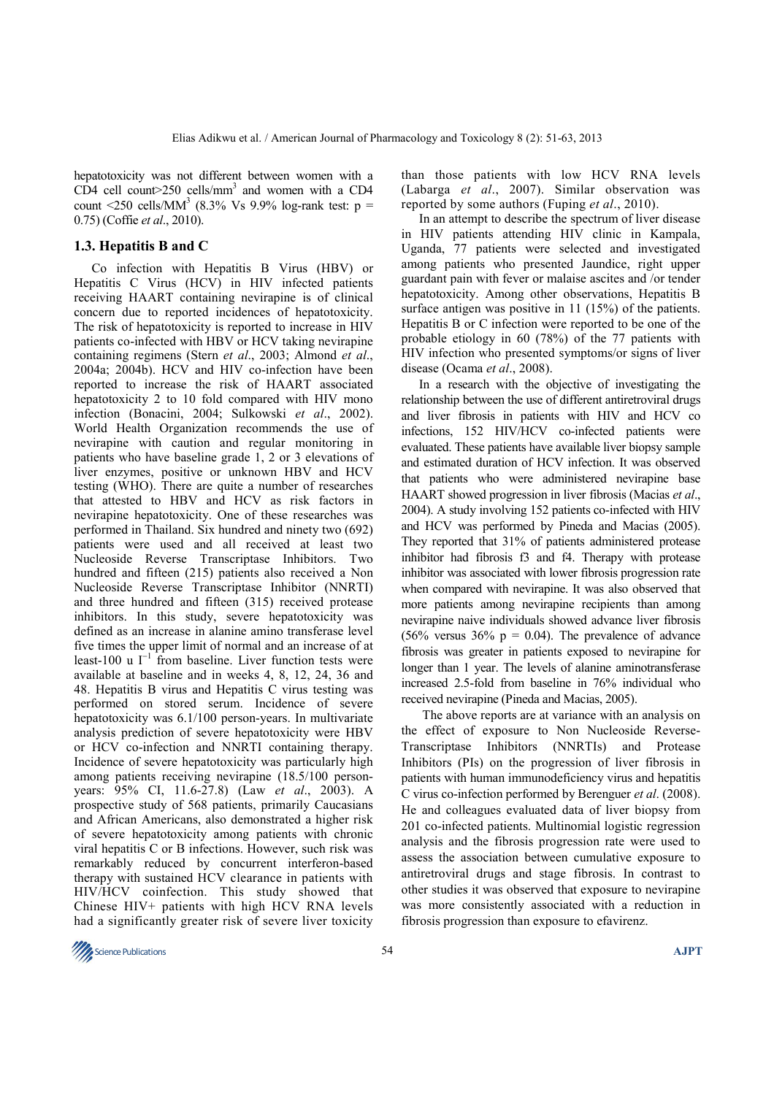hepatotoxicity was not different between women with a CD4 cell count>250 cells/mm<sup>3</sup> and women with a CD4 count <250 cells/MM<sup>3</sup> (8.3% Vs 9.9% log-rank test:  $p =$ 0.75) (Coffie *et al*., 2010).

#### **1.3. Hepatitis B and C**

Co infection with Hepatitis B Virus (HBV) or Hepatitis C Virus (HCV) in HIV infected patients receiving HAART containing nevirapine is of clinical concern due to reported incidences of hepatotoxicity. The risk of hepatotoxicity is reported to increase in HIV patients co-infected with HBV or HCV taking nevirapine containing regimens (Stern *et al*., 2003; Almond *et al*., 2004a; 2004b). HCV and HIV co-infection have been reported to increase the risk of HAART associated hepatotoxicity 2 to 10 fold compared with HIV mono infection (Bonacini, 2004; Sulkowski *et al*., 2002). World Health Organization recommends the use of nevirapine with caution and regular monitoring in patients who have baseline grade 1, 2 or 3 elevations of liver enzymes, positive or unknown HBV and HCV testing (WHO). There are quite a number of researches that attested to HBV and HCV as risk factors in nevirapine hepatotoxicity. One of these researches was performed in Thailand. Six hundred and ninety two (692) patients were used and all received at least two Nucleoside Reverse Transcriptase Inhibitors. Two hundred and fifteen (215) patients also received a Non Nucleoside Reverse Transcriptase Inhibitor (NNRTI) and three hundred and fifteen (315) received protease inhibitors. In this study, severe hepatotoxicity was defined as an increase in alanine amino transferase level five times the upper limit of normal and an increase of at least-100 u  $I^{-1}$  from baseline. Liver function tests were available at baseline and in weeks 4, 8, 12, 24, 36 and 48. Hepatitis B virus and Hepatitis C virus testing was performed on stored serum. Incidence of severe hepatotoxicity was  $6.1/100$  person-years. In multivariate analysis prediction of severe hepatotoxicity were HBV or HCV co-infection and NNRTI containing therapy. Incidence of severe hepatotoxicity was particularly high among patients receiving nevirapine (18.5/100 personyears: 95% CI, 11.6-27.8) (Law *et al*., 2003). A prospective study of 568 patients, primarily Caucasians and African Americans, also demonstrated a higher risk of severe hepatotoxicity among patients with chronic viral hepatitis C or B infections. However, such risk was remarkably reduced by concurrent interferon-based therapy with sustained HCV clearance in patients with HIV/HCV coinfection. This study showed that Chinese HIV+ patients with high HCV RNA levels had a significantly greater risk of severe liver toxicity

than those patients with low HCV RNA levels (Labarga *et al*., 2007). Similar observation was reported by some authors (Fuping *et al*., 2010).

In an attempt to describe the spectrum of liver disease in HIV patients attending HIV clinic in Kampala, Uganda, 77 patients were selected and investigated among patients who presented Jaundice, right upper guardant pain with fever or malaise ascites and /or tender hepatotoxicity. Among other observations, Hepatitis B surface antigen was positive in 11 (15%) of the patients. Hepatitis B or C infection were reported to be one of the probable etiology in 60 (78%) of the 77 patients with HIV infection who presented symptoms/or signs of liver disease (Ocama *et al*., 2008).

In a research with the objective of investigating the relationship between the use of different antiretroviral drugs and liver fibrosis in patients with HIV and HCV co infections, 152 HIV/HCV co-infected patients were evaluated. These patients have available liver biopsy sample and estimated duration of HCV infection. It was observed that patients who were administered nevirapine base HAART showed progression in liver fibrosis (Macias *et al*., 2004). A study involving 152 patients co-infected with HIV and HCV was performed by Pineda and Macias (2005). They reported that 31% of patients administered protease inhibitor had fibrosis f3 and f4. Therapy with protease inhibitor was associated with lower fibrosis progression rate when compared with nevirapine. It was also observed that more patients among nevirapine recipients than among nevirapine naive individuals showed advance liver fibrosis (56% versus  $36\%$  p = 0.04). The prevalence of advance fibrosis was greater in patients exposed to nevirapine for longer than 1 year. The levels of alanine aminotransferase increased 2.5-fold from baseline in 76% individual who received nevirapine (Pineda and Macias, 2005).

 The above reports are at variance with an analysis on the effect of exposure to Non Nucleoside Reverse-Transcriptase Inhibitors (NNRTIs) and Protease Inhibitors (PIs) on the progression of liver fibrosis in patients with human immunodeficiency virus and hepatitis C virus co-infection performed by Berenguer *et al*. (2008). He and colleagues evaluated data of liver biopsy from 201 co-infected patients. Multinomial logistic regression analysis and the fibrosis progression rate were used to assess the association between cumulative exposure to antiretroviral drugs and stage fibrosis. In contrast to other studies it was observed that exposure to nevirapine was more consistently associated with a reduction in fibrosis progression than exposure to efavirenz.

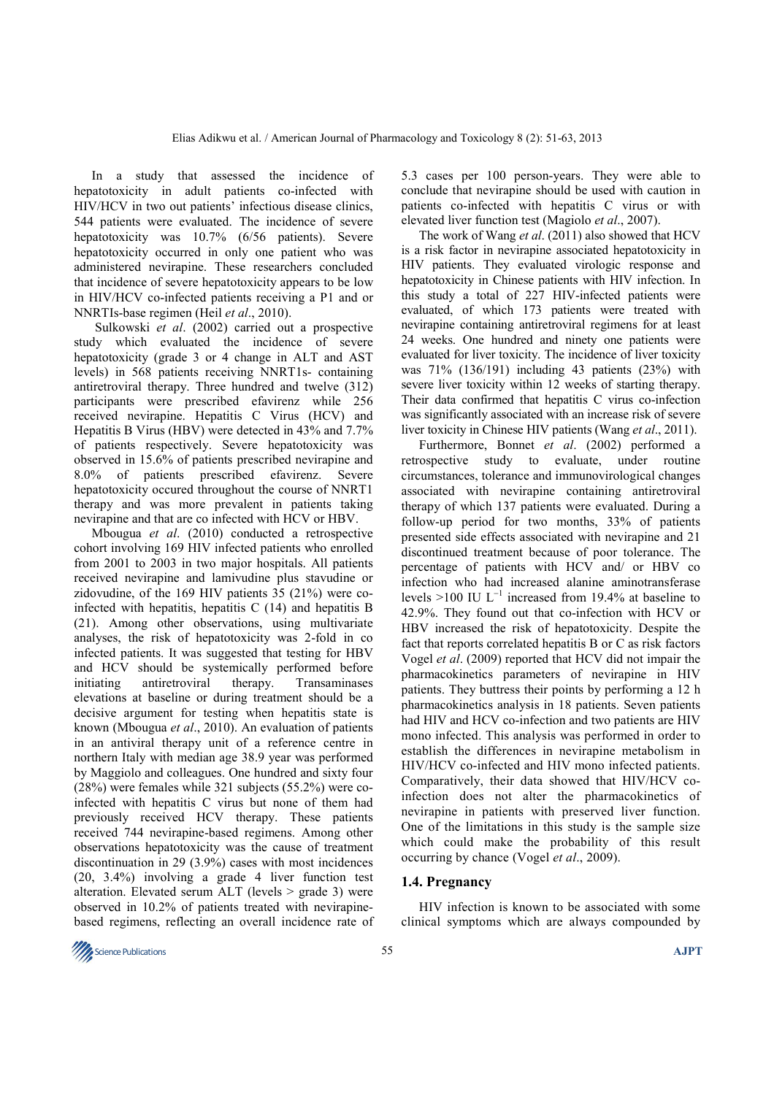In a study that assessed the incidence of hepatotoxicity in adult patients co-infected with HIV/HCV in two out patients' infectious disease clinics, 544 patients were evaluated. The incidence of severe hepatotoxicity was 10.7% (6/56 patients). Severe hepatotoxicity occurred in only one patient who was administered nevirapine. These researchers concluded that incidence of severe hepatotoxicity appears to be low in HIV/HCV co-infected patients receiving a P1 and or NNRTIs-base regimen (Heil *et al*., 2010).

 Sulkowski *et al*. (2002) carried out a prospective study which evaluated the incidence of severe hepatotoxicity (grade 3 or 4 change in ALT and AST levels) in 568 patients receiving NNRT1s- containing antiretroviral therapy. Three hundred and twelve (312) participants were prescribed efavirenz while 256 received nevirapine. Hepatitis C Virus (HCV) and Hepatitis B Virus (HBV) were detected in 43% and 7.7% of patients respectively. Severe hepatotoxicity was observed in 15.6% of patients prescribed nevirapine and 8.0% of patients prescribed efavirenz. Severe hepatotoxicity occured throughout the course of NNRT1 therapy and was more prevalent in patients taking nevirapine and that are co infected with HCV or HBV.

Mbougua *et al*. (2010) conducted a retrospective cohort involving 169 HIV infected patients who enrolled from 2001 to 2003 in two major hospitals. All patients received nevirapine and lamivudine plus stavudine or zidovudine, of the 169 HIV patients 35 (21%) were coinfected with hepatitis, hepatitis C (14) and hepatitis B (21). Among other observations, using multivariate analyses, the risk of hepatotoxicity was 2-fold in co infected patients. It was suggested that testing for HBV and HCV should be systemically performed before initiating antiretroviral therapy. Transaminases elevations at baseline or during treatment should be a decisive argument for testing when hepatitis state is known (Mbougua *et al*., 2010). An evaluation of patients in an antiviral therapy unit of a reference centre in northern Italy with median age 38.9 year was performed by Maggiolo and colleagues. One hundred and sixty four (28%) were females while 321 subjects (55.2%) were coinfected with hepatitis C virus but none of them had previously received HCV therapy. These patients received 744 nevirapine-based regimens. Among other observations hepatotoxicity was the cause of treatment discontinuation in 29 (3.9%) cases with most incidences (20, 3.4%) involving a grade 4 liver function test alteration. Elevated serum ALT (levels > grade 3) were observed in 10.2% of patients treated with nevirapinebased regimens, reflecting an overall incidence rate of 5.3 cases per 100 person-years. They were able to conclude that nevirapine should be used with caution in patients co-infected with hepatitis C virus or with elevated liver function test (Magiolo *et al*., 2007).

The work of Wang *et al*. (2011) also showed that HCV is a risk factor in nevirapine associated hepatotoxicity in HIV patients. They evaluated virologic response and hepatotoxicity in Chinese patients with HIV infection. In this study a total of 227 HIV-infected patients were evaluated, of which 173 patients were treated with nevirapine containing antiretroviral regimens for at least 24 weeks. One hundred and ninety one patients were evaluated for liver toxicity. The incidence of liver toxicity was 71% (136/191) including 43 patients (23%) with severe liver toxicity within 12 weeks of starting therapy. Their data confirmed that hepatitis C virus co-infection was significantly associated with an increase risk of severe liver toxicity in Chinese HIV patients (Wang *et al*., 2011).

Furthermore, Bonnet *et al*. (2002) performed a retrospective study to evaluate, under routine circumstances, tolerance and immunovirological changes associated with nevirapine containing antiretroviral therapy of which 137 patients were evaluated. During a follow-up period for two months, 33% of patients presented side effects associated with nevirapine and 21 discontinued treatment because of poor tolerance. The percentage of patients with HCV and/ or HBV co infection who had increased alanine aminotransferase levels >100 IU  $L^{-1}$  increased from 19.4% at baseline to 42.9%. They found out that co-infection with HCV or HBV increased the risk of hepatotoxicity. Despite the fact that reports correlated hepatitis B or C as risk factors Vogel *et al*. (2009) reported that HCV did not impair the pharmacokinetics parameters of nevirapine in HIV patients. They buttress their points by performing a 12 h pharmacokinetics analysis in 18 patients. Seven patients had HIV and HCV co-infection and two patients are HIV mono infected. This analysis was performed in order to establish the differences in nevirapine metabolism in HIV/HCV co-infected and HIV mono infected patients. Comparatively, their data showed that HIV/HCV coinfection does not alter the pharmacokinetics of nevirapine in patients with preserved liver function. One of the limitations in this study is the sample size which could make the probability of this result occurring by chance (Vogel *et al*., 2009).

#### **1.4. Pregnancy**

HIV infection is known to be associated with some clinical symptoms which are always compounded by

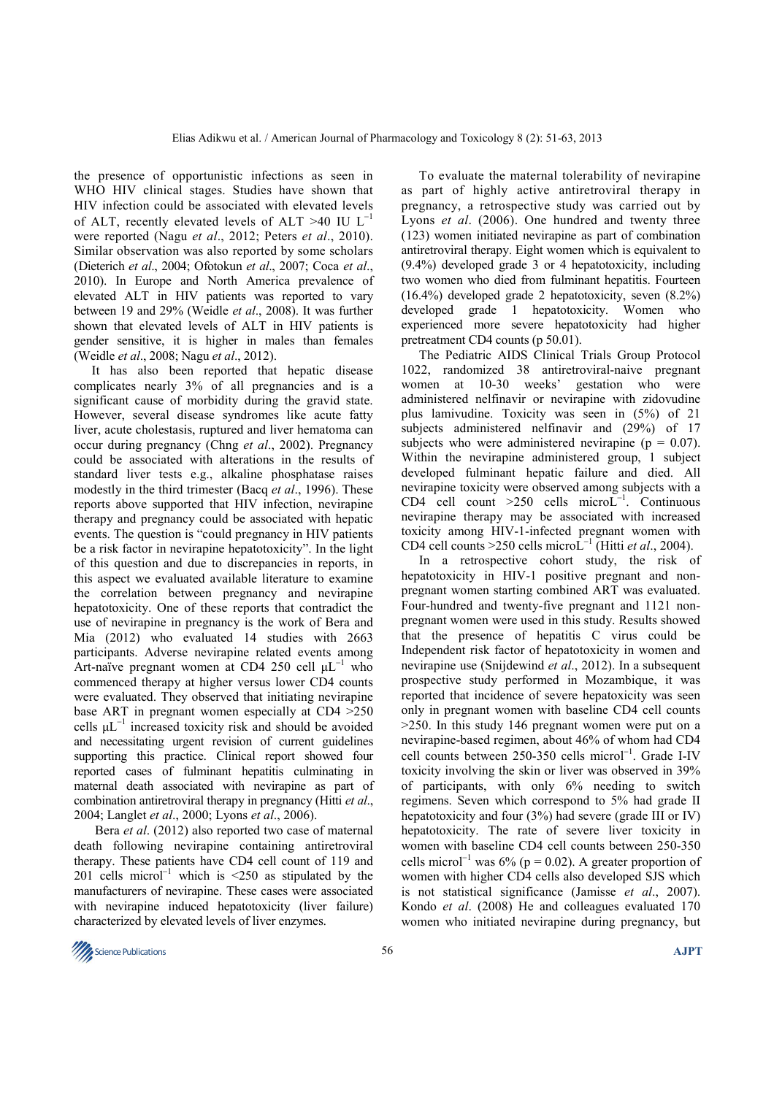the presence of opportunistic infections as seen in WHO HIV clinical stages. Studies have shown that HIV infection could be associated with elevated levels of ALT, recently elevated levels of ALT >40 IU  $L^{-1}$ were reported (Nagu *et al*., 2012; Peters *et al*., 2010). Similar observation was also reported by some scholars (Dieterich *et al*., 2004; Ofotokun *et al*., 2007; Coca *et al*., 2010). In Europe and North America prevalence of elevated ALT in HIV patients was reported to vary between 19 and 29% (Weidle *et al*., 2008). It was further shown that elevated levels of ALT in HIV patients is gender sensitive, it is higher in males than females (Weidle *et al*., 2008; Nagu *et al*., 2012).

It has also been reported that hepatic disease complicates nearly 3% of all pregnancies and is a significant cause of morbidity during the gravid state. However, several disease syndromes like acute fatty liver, acute cholestasis, ruptured and liver hematoma can occur during pregnancy (Chng *et al*., 2002). Pregnancy could be associated with alterations in the results of standard liver tests e.g., alkaline phosphatase raises modestly in the third trimester (Bacq *et al*., 1996). These reports above supported that HIV infection, nevirapine therapy and pregnancy could be associated with hepatic events. The question is "could pregnancy in HIV patients be a risk factor in nevirapine hepatotoxicity". In the light of this question and due to discrepancies in reports, in this aspect we evaluated available literature to examine the correlation between pregnancy and nevirapine hepatotoxicity. One of these reports that contradict the use of nevirapine in pregnancy is the work of Bera and Mia (2012) who evaluated 14 studies with 2663 participants. Adverse nevirapine related events among Art-naïve pregnant women at CD4 250 cell  $\mu L^{-1}$  who commenced therapy at higher versus lower CD4 counts were evaluated. They observed that initiating nevirapine base ART in pregnant women especially at CD4 >250 cells  $\mu L^{-1}$  increased toxicity risk and should be avoided and necessitating urgent revision of current guidelines supporting this practice. Clinical report showed four reported cases of fulminant hepatitis culminating in maternal death associated with nevirapine as part of combination antiretroviral therapy in pregnancy (Hitti *et al*., 2004; Langlet *et al*., 2000; Lyons *et al*., 2006).

 Bera *et al*. (2012) also reported two case of maternal death following nevirapine containing antiretroviral therapy. These patients have CD4 cell count of 119 and 201 cells microl<sup>-1</sup> which is <250 as stipulated by the manufacturers of nevirapine. These cases were associated with nevirapine induced hepatotoxicity (liver failure) characterized by elevated levels of liver enzymes.

To evaluate the maternal tolerability of nevirapine as part of highly active antiretroviral therapy in pregnancy, a retrospective study was carried out by Lyons *et al*. (2006). One hundred and twenty three (123) women initiated nevirapine as part of combination antiretroviral therapy. Eight women which is equivalent to (9.4%) developed grade 3 or 4 hepatotoxicity, including two women who died from fulminant hepatitis. Fourteen (16.4%) developed grade 2 hepatotoxicity, seven (8.2%) developed grade 1 hepatotoxicity. Women who experienced more severe hepatotoxicity had higher pretreatment CD4 counts (p 50.01).

The Pediatric AIDS Clinical Trials Group Protocol 1022, randomized 38 antiretroviral-naive pregnant women at 10-30 weeks' gestation who were administered nelfinavir or nevirapine with zidovudine plus lamivudine. Toxicity was seen in (5%) of 21 subjects administered nelfinavir and (29%) of 17 subjects who were administered nevirapine ( $p = 0.07$ ). Within the nevirapine administered group, 1 subject developed fulminant hepatic failure and died. All nevirapine toxicity were observed among subjects with a CD4 cell count >250 cells microL<sup>−</sup><sup>1</sup> . Continuous nevirapine therapy may be associated with increased toxicity among HIV-1-infected pregnant women with CD4 cell counts >250 cells microL<sup>−</sup><sup>1</sup> (Hitti *et al*., 2004).

In a retrospective cohort study, the risk of hepatotoxicity in HIV-1 positive pregnant and nonpregnant women starting combined ART was evaluated. Four-hundred and twenty-five pregnant and 1121 nonpregnant women were used in this study. Results showed that the presence of hepatitis C virus could be Independent risk factor of hepatotoxicity in women and nevirapine use (Snijdewind *et al*., 2012). In a subsequent prospective study performed in Mozambique, it was reported that incidence of severe hepatoxicity was seen only in pregnant women with baseline CD4 cell counts >250. In this study 146 pregnant women were put on a nevirapine-based regimen, about 46% of whom had CD4 cell counts between 250-350 cells microl<sup>−</sup><sup>1</sup> . Grade I-IV toxicity involving the skin or liver was observed in 39% of participants, with only 6% needing to switch regimens. Seven which correspond to 5% had grade II hepatotoxicity and four (3%) had severe (grade III or IV) hepatotoxicity. The rate of severe liver toxicity in women with baseline CD4 cell counts between 250-350 cells microl<sup>-1</sup> was 6% ( $p = 0.02$ ). A greater proportion of women with higher CD4 cells also developed SJS which is not statistical significance (Jamisse *et al*., 2007). Kondo *et al*. (2008) He and colleagues evaluated 170 women who initiated nevirapine during pregnancy, but

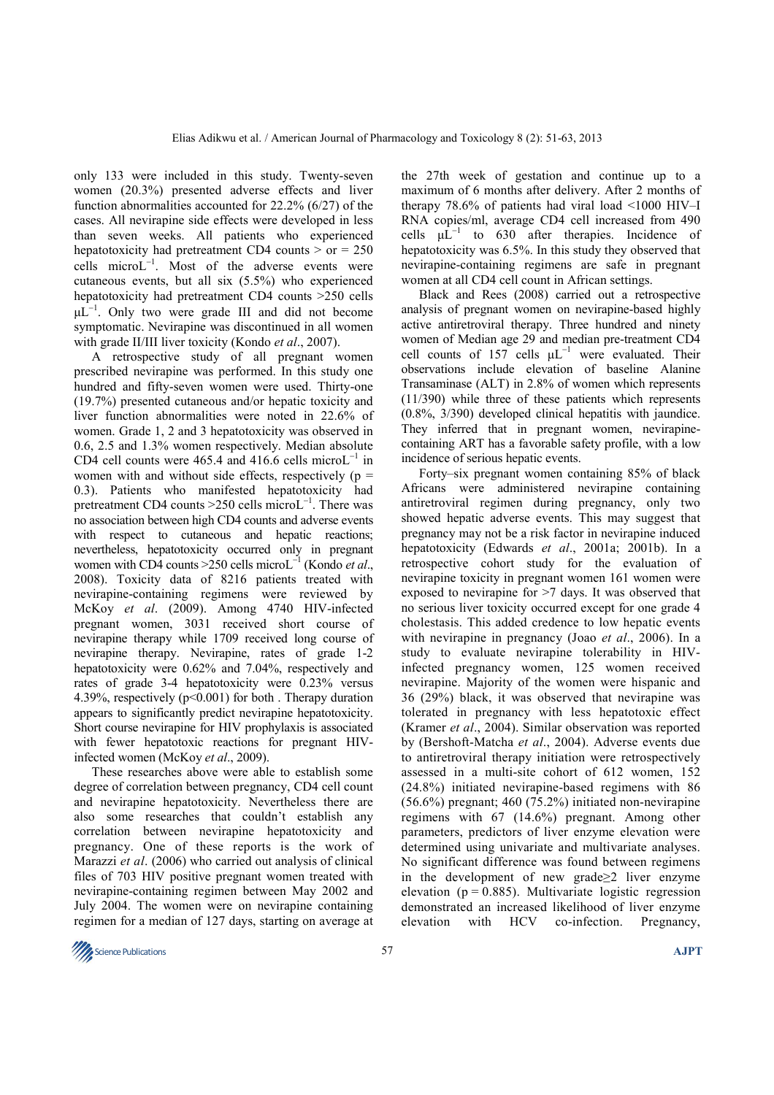only 133 were included in this study. Twenty-seven women (20.3%) presented adverse effects and liver function abnormalities accounted for 22.2% (6/27) of the cases. All nevirapine side effects were developed in less than seven weeks. All patients who experienced hepatotoxicity had pretreatment CD4 counts  $>$  or  $= 250$ cells microL<sup>−</sup><sup>1</sup> . Most of the adverse events were cutaneous events, but all six (5.5%) who experienced hepatotoxicity had pretreatment CD4 counts >250 cells µL<sup>-1</sup>. Only two were grade III and did not become symptomatic. Nevirapine was discontinued in all women with grade II/III liver toxicity (Kondo *et al*., 2007).

A retrospective study of all pregnant women prescribed nevirapine was performed. In this study one hundred and fifty-seven women were used. Thirty-one (19.7%) presented cutaneous and/or hepatic toxicity and liver function abnormalities were noted in 22.6% of women. Grade 1, 2 and 3 hepatotoxicity was observed in 0.6, 2.5 and 1.3% women respectively. Median absolute CD4 cell counts were 465.4 and 416.6 cells microL<sup>-1</sup> in women with and without side effects, respectively ( $p =$ 0.3). Patients who manifested hepatotoxicity had pretreatment CD4 counts >250 cells microL<sup>-1</sup>. There was no association between high CD4 counts and adverse events with respect to cutaneous and hepatic reactions; nevertheless, hepatotoxicity occurred only in pregnant women with CD4 counts >250 cells microL<sup>−</sup><sup>1</sup> (Kondo *et al*., 2008). Toxicity data of 8216 patients treated with nevirapine-containing regimens were reviewed by McKoy *et al*. (2009). Among 4740 HIV-infected pregnant women, 3031 received short course of nevirapine therapy while 1709 received long course of nevirapine therapy. Nevirapine, rates of grade 1-2 hepatotoxicity were 0.62% and 7.04%, respectively and rates of grade 3-4 hepatotoxicity were 0.23% versus 4.39%, respectively (p<0.001) for both . Therapy duration appears to significantly predict nevirapine hepatotoxicity. Short course nevirapine for HIV prophylaxis is associated with fewer hepatotoxic reactions for pregnant HIVinfected women (McKoy *et al*., 2009).

These researches above were able to establish some degree of correlation between pregnancy, CD4 cell count and nevirapine hepatotoxicity. Nevertheless there are also some researches that couldn't establish any correlation between nevirapine hepatotoxicity and pregnancy. One of these reports is the work of Marazzi *et al*. (2006) who carried out analysis of clinical files of 703 HIV positive pregnant women treated with nevirapine-containing regimen between May 2002 and July 2004. The women were on nevirapine containing regimen for a median of 127 days, starting on average at the 27th week of gestation and continue up to a maximum of 6 months after delivery. After 2 months of therapy 78.6% of patients had viral load <1000 HIV–I RNA copies/ml, average CD4 cell increased from 490 cells  $\mu L^{-1}$  to 630 after therapies. Incidence of hepatotoxicity was 6.5%. In this study they observed that nevirapine-containing regimens are safe in pregnant women at all CD4 cell count in African settings.

Black and Rees (2008) carried out a retrospective analysis of pregnant women on nevirapine-based highly active antiretroviral therapy. Three hundred and ninety women of Median age 29 and median pre-treatment CD4 cell counts of 157 cells µL<sup>−</sup><sup>1</sup> were evaluated. Their observations include elevation of baseline Alanine Transaminase (ALT) in 2.8% of women which represents (11/390) while three of these patients which represents (0.8%, 3/390) developed clinical hepatitis with jaundice. They inferred that in pregnant women, nevirapinecontaining ART has a favorable safety profile, with a low incidence of serious hepatic events.

Forty–six pregnant women containing 85% of black Africans were administered nevirapine containing antiretroviral regimen during pregnancy, only two showed hepatic adverse events. This may suggest that pregnancy may not be a risk factor in nevirapine induced hepatotoxicity (Edwards *et al*., 2001a; 2001b). In a retrospective cohort study for the evaluation of nevirapine toxicity in pregnant women 161 women were exposed to nevirapine for >7 days. It was observed that no serious liver toxicity occurred except for one grade 4 cholestasis. This added credence to low hepatic events with nevirapine in pregnancy (Joao *et al*., 2006). In a study to evaluate nevirapine tolerability in HIVinfected pregnancy women, 125 women received nevirapine. Majority of the women were hispanic and 36 (29%) black, it was observed that nevirapine was tolerated in pregnancy with less hepatotoxic effect (Kramer *et al*., 2004). Similar observation was reported by (Bershoft-Matcha *et al*., 2004). Adverse events due to antiretroviral therapy initiation were retrospectively assessed in a multi-site cohort of 612 women, 152 (24.8%) initiated nevirapine-based regimens with 86  $(56.6\%)$  pregnant; 460  $(75.2\%)$  initiated non-nevirapine regimens with 67 (14.6%) pregnant. Among other parameters, predictors of liver enzyme elevation were determined using univariate and multivariate analyses. No significant difference was found between regimens in the development of new grade≥2 liver enzyme elevation ( $p = 0.885$ ). Multivariate logistic regression demonstrated an increased likelihood of liver enzyme elevation with HCV co-infection. Pregnancy,

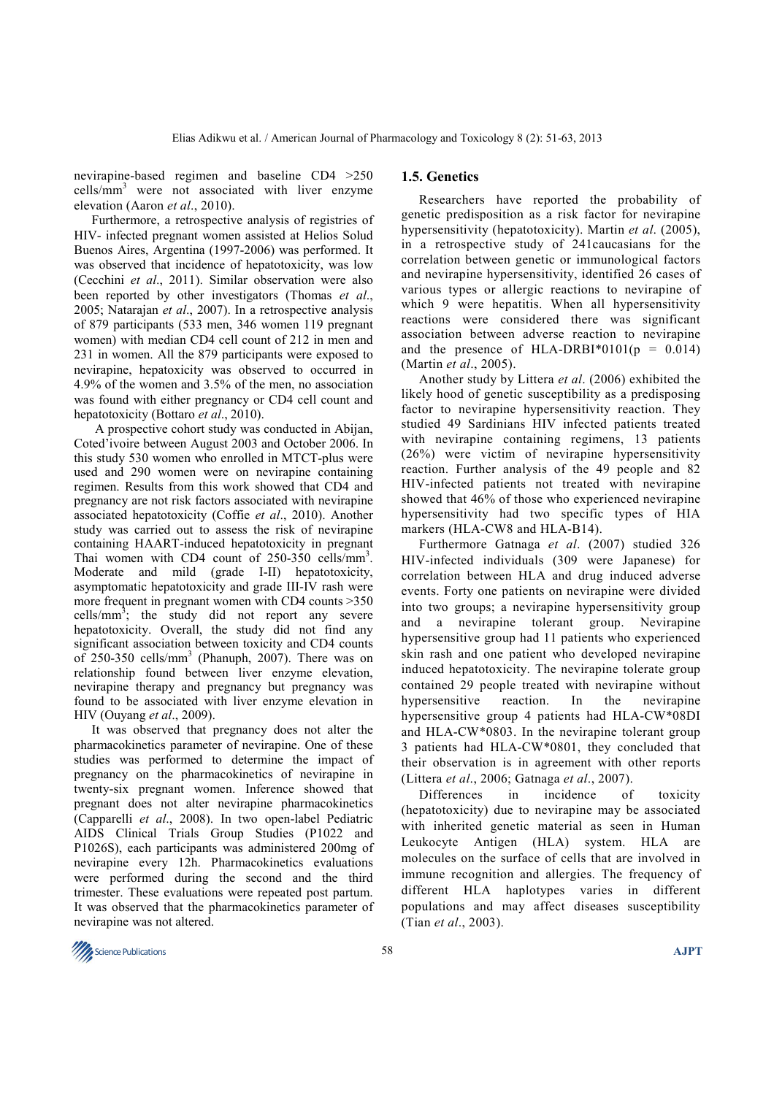nevirapine-based regimen and baseline CD4 >250 cells/mm<sup>3</sup> were not associated with liver enzyme elevation (Aaron *et al*., 2010).

Furthermore, a retrospective analysis of registries of HIV- infected pregnant women assisted at Helios Solud Buenos Aires, Argentina (1997-2006) was performed. It was observed that incidence of hepatotoxicity, was low (Cecchini *et al*., 2011). Similar observation were also been reported by other investigators (Thomas *et al*., 2005; Natarajan *et al*., 2007). In a retrospective analysis of 879 participants (533 men, 346 women 119 pregnant women) with median CD4 cell count of 212 in men and 231 in women. All the 879 participants were exposed to nevirapine, hepatoxicity was observed to occurred in 4.9% of the women and 3.5% of the men, no association was found with either pregnancy or CD4 cell count and hepatotoxicity (Bottaro *et al*., 2010).

 A prospective cohort study was conducted in Abijan, Coted'ivoire between August 2003 and October 2006. In this study 530 women who enrolled in MTCT-plus were used and 290 women were on nevirapine containing regimen. Results from this work showed that CD4 and pregnancy are not risk factors associated with nevirapine associated hepatotoxicity (Coffie *et al*., 2010). Another study was carried out to assess the risk of nevirapine containing HAART-induced hepatotoxicity in pregnant Thai women with CD4 count of 250-350 cells/mm<sup>3</sup>. Moderate and mild (grade I-II) hepatotoxicity, asymptomatic hepatotoxicity and grade III-IV rash were more frequent in pregnant women with CD4 counts > 350 cells/ $mm^3$ ; the study did not report any severe hepatotoxicity. Overall, the study did not find any significant association between toxicity and CD4 counts of 250-350 cells/mm<sup>3</sup> (Phanuph, 2007). There was on relationship found between liver enzyme elevation, nevirapine therapy and pregnancy but pregnancy was found to be associated with liver enzyme elevation in HIV (Ouyang *et al*., 2009).

It was observed that pregnancy does not alter the pharmacokinetics parameter of nevirapine. One of these studies was performed to determine the impact of pregnancy on the pharmacokinetics of nevirapine in twenty-six pregnant women. Inference showed that pregnant does not alter nevirapine pharmacokinetics (Capparelli *et al*., 2008). In two open-label Pediatric AIDS Clinical Trials Group Studies (P1022 and P1026S), each participants was administered 200mg of nevirapine every 12h. Pharmacokinetics evaluations were performed during the second and the third trimester. These evaluations were repeated post partum. It was observed that the pharmacokinetics parameter of nevirapine was not altered.

## **1.5. Genetics**

Researchers have reported the probability of genetic predisposition as a risk factor for nevirapine hypersensitivity (hepatotoxicity). Martin *et al*. (2005), in a retrospective study of 241caucasians for the correlation between genetic or immunological factors and nevirapine hypersensitivity, identified 26 cases of various types or allergic reactions to nevirapine of which 9 were hepatitis. When all hypersensitivity reactions were considered there was significant association between adverse reaction to nevirapine and the presence of HLA-DRBI\*0101( $p = 0.014$ ) (Martin *et al*., 2005).

Another study by Littera *et al*. (2006) exhibited the likely hood of genetic susceptibility as a predisposing factor to nevirapine hypersensitivity reaction. They studied 49 Sardinians HIV infected patients treated with nevirapine containing regimens, 13 patients (26%) were victim of nevirapine hypersensitivity reaction. Further analysis of the 49 people and 82 HIV-infected patients not treated with nevirapine showed that 46% of those who experienced nevirapine hypersensitivity had two specific types of HIA markers (HLA-CW8 and HLA-B14).

Furthermore Gatnaga *et al*. (2007) studied 326 HIV-infected individuals (309 were Japanese) for correlation between HLA and drug induced adverse events. Forty one patients on nevirapine were divided into two groups; a nevirapine hypersensitivity group and a nevirapine tolerant group. Nevirapine hypersensitive group had 11 patients who experienced skin rash and one patient who developed nevirapine induced hepatotoxicity. The nevirapine tolerate group contained 29 people treated with nevirapine without hypersensitive reaction. In the nevirapine hypersensitive group 4 patients had HLA-CW\*08DI and HLA-CW\*0803. In the nevirapine tolerant group 3 patients had HLA-CW\*0801, they concluded that their observation is in agreement with other reports (Littera *et al*., 2006; Gatnaga *et al*., 2007).

Differences in incidence of toxicity (hepatotoxicity) due to nevirapine may be associated with inherited genetic material as seen in Human Leukocyte Antigen (HLA) system. HLA are molecules on the surface of cells that are involved in immune recognition and allergies. The frequency of different HLA haplotypes varies in different populations and may affect diseases susceptibility (Tian *et al*., 2003).

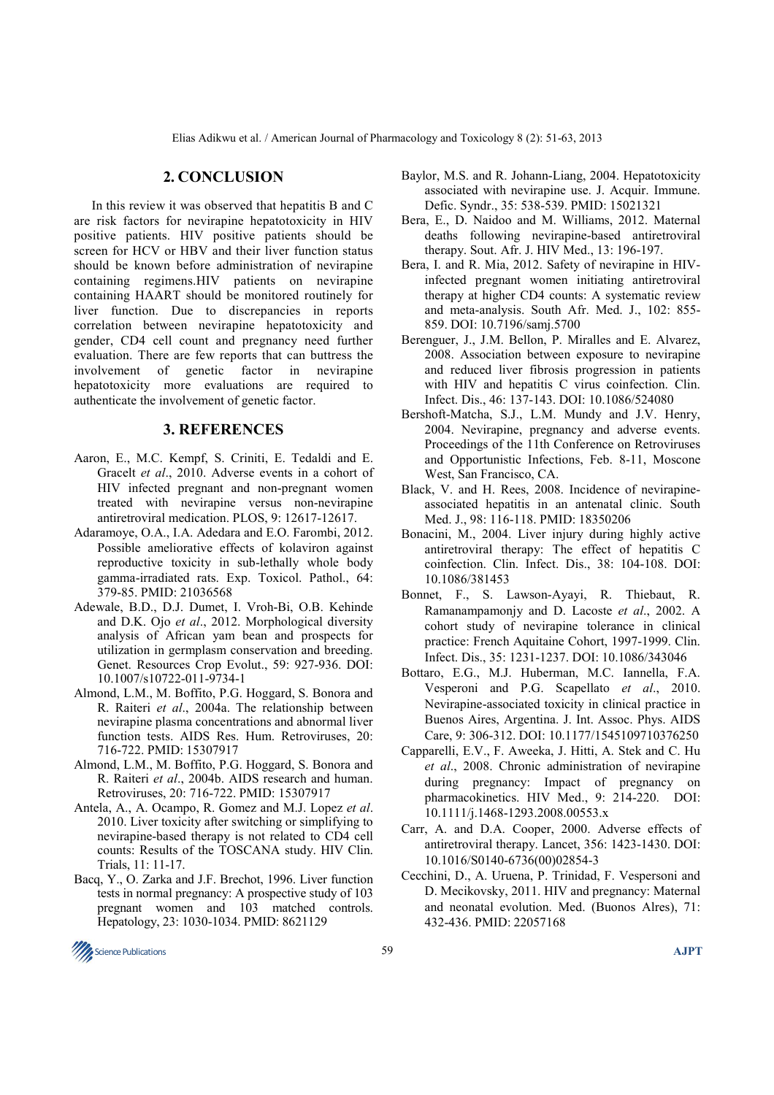## **2. CONCLUSION**

In this review it was observed that hepatitis B and C are risk factors for nevirapine hepatotoxicity in HIV positive patients. HIV positive patients should be screen for HCV or HBV and their liver function status should be known before administration of nevirapine containing regimens.HIV patients on nevirapine containing HAART should be monitored routinely for liver function. Due to discrepancies in reports correlation between nevirapine hepatotoxicity and gender, CD4 cell count and pregnancy need further evaluation. There are few reports that can buttress the involvement of genetic factor in nevirapine hepatotoxicity more evaluations are required to authenticate the involvement of genetic factor.

#### **3. REFERENCES**

- Aaron, E., M.C. Kempf, S. Criniti, E. Tedaldi and E. Gracelt *et al*., 2010. Adverse events in a cohort of HIV infected pregnant and non-pregnant women treated with nevirapine versus non-nevirapine antiretroviral medication. PLOS, 9: 12617-12617.
- Adaramoye, O.A., I.A. Adedara and E.O. Farombi, 2012. Possible ameliorative effects of kolaviron against reproductive toxicity in sub-lethally whole body gamma-irradiated rats. Exp. Toxicol. Pathol., 64: 379-85. PMID: 21036568
- Adewale, B.D., D.J. Dumet, I. Vroh-Bi, O.B. Kehinde and D.K. Ojo *et al*., 2012. Morphological diversity analysis of African yam bean and prospects for utilization in germplasm conservation and breeding. Genet. Resources Crop Evolut., 59: 927-936. DOI: 10.1007/s10722-011-9734-1
- Almond, L.M., M. Boffito, P.G. Hoggard, S. Bonora and R. Raiteri *et al*., 2004a. The relationship between nevirapine plasma concentrations and abnormal liver function tests. AIDS Res. Hum. Retroviruses, 20: 716-722. PMID: 15307917
- Almond, L.M., M. Boffito, P.G. Hoggard, S. Bonora and R. Raiteri *et al*., 2004b. AIDS research and human. Retroviruses, 20: 716-722. PMID: 15307917
- Antela, A., A. Ocampo, R. Gomez and M.J. Lopez *et al*. 2010. Liver toxicity after switching or simplifying to nevirapine-based therapy is not related to CD4 cell counts: Results of the TOSCANA study. HIV Clin. Trials, 11: 11-17.
- Bacq, Y., O. Zarka and J.F. Brechot, 1996. Liver function tests in normal pregnancy: A prospective study of 103 pregnant women and 103 matched controls. Hepatology, 23: 1030-1034. PMID: 8621129
- Baylor, M.S. and R. Johann-Liang, 2004. Hepatotoxicity associated with nevirapine use. J. Acquir. Immune. Defic. Syndr., 35: 538-539. PMID: 15021321
- Bera, E., D. Naidoo and M. Williams, 2012. Maternal deaths following nevirapine-based antiretroviral therapy. Sout. Afr. J. HIV Med., 13: 196-197.
- Bera, I. and R. Mia, 2012. Safety of nevirapine in HIVinfected pregnant women initiating antiretroviral therapy at higher CD4 counts: A systematic review and meta-analysis. South Afr. Med. J., 102: 855- 859. DOI: 10.7196/samj.5700
- Berenguer, J., J.M. Bellon, P. Miralles and E. Alvarez, 2008. Association between exposure to nevirapine and reduced liver fibrosis progression in patients with HIV and hepatitis C virus coinfection. Clin. Infect. Dis., 46: 137-143. DOI: 10.1086/524080
- Bershoft-Matcha, S.J., L.M. Mundy and J.V. Henry, 2004. Nevirapine, pregnancy and adverse events. Proceedings of the 11th Conference on Retroviruses and Opportunistic Infections, Feb. 8-11, Moscone West, San Francisco, CA.
- Black, V. and H. Rees, 2008. Incidence of nevirapineassociated hepatitis in an antenatal clinic. South Med. J., 98: 116-118. PMID: 18350206
- Bonacini, M., 2004. Liver injury during highly active antiretroviral therapy: The effect of hepatitis C coinfection. Clin. Infect. Dis., 38: 104-108. DOI: 10.1086/381453
- Bonnet, F., S. Lawson-Ayayi, R. Thiebaut, R. Ramanampamonjy and D. Lacoste *et al*., 2002. A cohort study of nevirapine tolerance in clinical practice: French Aquitaine Cohort, 1997-1999. Clin. Infect. Dis., 35: 1231-1237. DOI: 10.1086/343046
- Bottaro, E.G., M.J. Huberman, M.C. Iannella, F.A. Vesperoni and P.G. Scapellato *et al*., 2010. Nevirapine-associated toxicity in clinical practice in Buenos Aires, Argentina. J. Int. Assoc. Phys. AIDS Care, 9: 306-312. DOI: 10.1177/1545109710376250
- Capparelli, E.V., F. Aweeka, J. Hitti, A. Stek and C. Hu *et al*., 2008. Chronic administration of nevirapine during pregnancy: Impact of pregnancy on pharmacokinetics. HIV Med., 9: 214-220. DOI: 10.1111/j.1468-1293.2008.00553.x
- Carr, A. and D.A. Cooper, 2000. Adverse effects of antiretroviral therapy. Lancet, 356: 1423-1430. DOI: 10.1016/S0140-6736(00)02854-3
- Cecchini, D., A. Uruena, P. Trinidad, F. Vespersoni and D. Mecikovsky, 2011. HIV and pregnancy: Maternal and neonatal evolution. Med. (Buonos Alres), 71: 432-436. PMID: 22057168

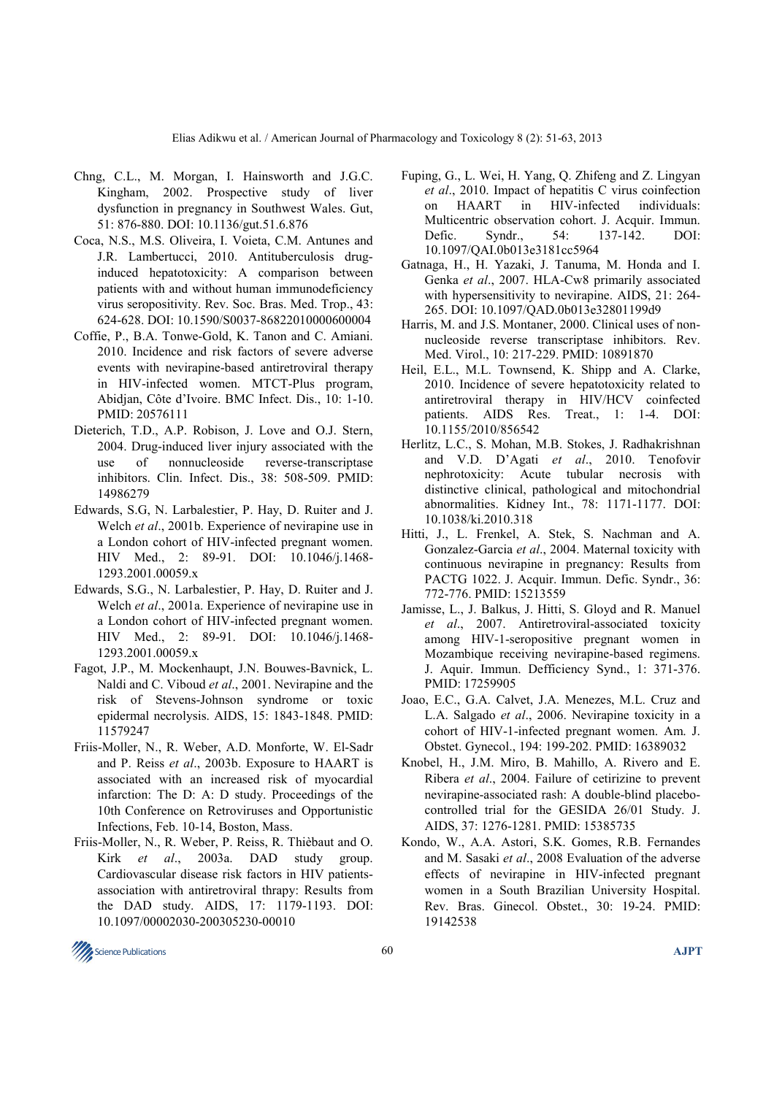- Chng, C.L., M. Morgan, I. Hainsworth and J.G.C. Kingham, 2002. Prospective study of liver dysfunction in pregnancy in Southwest Wales. Gut, 51: 876-880. DOI: 10.1136/gut.51.6.876
- Coca, N.S., M.S. Oliveira, I. Voieta, C.M. Antunes and J.R. Lambertucci, 2010. Antituberculosis druginduced hepatotoxicity: A comparison between patients with and without human immunodeficiency virus seropositivity. Rev. Soc. Bras. Med. Trop., 43: 624-628. DOI: 10.1590/S0037-86822010000600004
- Coffie, P., B.A. Tonwe-Gold, K. Tanon and C. Amiani. 2010. Incidence and risk factors of severe adverse events with nevirapine-based antiretroviral therapy in HIV-infected women. MTCT-Plus program, Abidjan, Côte d'Ivoire. BMC Infect. Dis., 10: 1-10. PMID: 20576111
- Dieterich, T.D., A.P. Robison, J. Love and O.J. Stern, 2004. Drug-induced liver injury associated with the use of nonnucleoside reverse-transcriptase inhibitors. Clin. Infect. Dis., 38: 508-509. PMID: 14986279
- Edwards, S.G, N. Larbalestier, P. Hay, D. Ruiter and J. Welch *et al*., 2001b. Experience of nevirapine use in a London cohort of HIV-infected pregnant women. HIV Med., 2: 89-91. DOI: 10.1046/j.1468- 1293.2001.00059.x
- Edwards, S.G., N. Larbalestier, P. Hay, D. Ruiter and J. Welch *et al*., 2001a. Experience of nevirapine use in a London cohort of HIV-infected pregnant women. HIV Med., 2: 89-91. DOI: 10.1046/j.1468- 1293.2001.00059.x
- Fagot, J.P., M. Mockenhaupt, J.N. Bouwes-Bavnick, L. Naldi and C. Viboud *et al*., 2001. Nevirapine and the risk of Stevens-Johnson syndrome or toxic epidermal necrolysis. AIDS, 15: 1843-1848. PMID: 11579247
- Friis-Moller, N., R. Weber, A.D. Monforte, W. El-Sadr and P. Reiss *et al*., 2003b. Exposure to HAART is associated with an increased risk of myocardial infarction: The D: A: D study. Proceedings of the 10th Conference on Retroviruses and Opportunistic Infections, Feb. 10-14, Boston, Mass.
- Friis-Moller, N., R. Weber, P. Reiss, R. Thièbaut and O. Kirk *et al*., 2003a. DAD study group. Cardiovascular disease risk factors in HIV patientsassociation with antiretroviral thrapy: Results from the DAD study. AIDS, 17: 1179-1193. DOI: 10.1097/00002030-200305230-00010
- Fuping, G., L. Wei, H. Yang, Q. Zhifeng and Z. Lingyan *et al*., 2010. Impact of hepatitis C virus coinfection on HAART in HIV-infected individuals: Multicentric observation cohort. J. Acquir. Immun. Defic. Syndr., 54: 137-142. DOI: 10.1097/QAI.0b013e3181cc5964
- Gatnaga, H., H. Yazaki, J. Tanuma, M. Honda and I. Genka *et al*., 2007. HLA-Cw8 primarily associated with hypersensitivity to nevirapine. AIDS, 21: 264- 265. DOI: 10.1097/QAD.0b013e32801199d9
- Harris, M. and J.S. Montaner, 2000. Clinical uses of nonnucleoside reverse transcriptase inhibitors. Rev. Med. Virol., 10: 217-229. PMID: 10891870
- Heil, E.L., M.L. Townsend, K. Shipp and A. Clarke, 2010. Incidence of severe hepatotoxicity related to antiretroviral therapy in HIV/HCV coinfected patients. AIDS Res. Treat., 1: 1-4. DOI: 10.1155/2010/856542
- Herlitz, L.C., S. Mohan, M.B. Stokes, J. Radhakrishnan and V.D. D'Agati *et al*., 2010. Tenofovir nephrotoxicity: Acute tubular necrosis with distinctive clinical, pathological and mitochondrial abnormalities. Kidney Int., 78: 1171-1177. DOI: 10.1038/ki.2010.318
- Hitti, J., L. Frenkel, A. Stek, S. Nachman and A. Gonzalez-Garcia *et al*., 2004. Maternal toxicity with continuous nevirapine in pregnancy: Results from PACTG 1022. J. Acquir. Immun. Defic. Syndr., 36: 772-776. PMID: 15213559
- Jamisse, L., J. Balkus, J. Hitti, S. Gloyd and R. Manuel *et al*., 2007. Antiretroviral-associated toxicity among HIV-1-seropositive pregnant women in Mozambique receiving nevirapine-based regimens. J. Aquir. Immun. Defficiency Synd., 1: 371-376. PMID: 17259905
- Joao, E.C., G.A. Calvet, J.A. Menezes, M.L. Cruz and L.A. Salgado *et al*., 2006. Nevirapine toxicity in a cohort of HIV-1-infected pregnant women. Am. J. Obstet. Gynecol., 194: 199-202. PMID: 16389032
- Knobel, H., J.M. Miro, B. Mahillo, A. Rivero and E. Ribera *et al*., 2004. Failure of cetirizine to prevent nevirapine-associated rash: A double-blind placebocontrolled trial for the GESIDA 26/01 Study. J. AIDS, 37: 1276-1281. PMID: 15385735
- Kondo, W., A.A. Astori, S.K. Gomes, R.B. Fernandes and M. Sasaki *et al*., 2008 Evaluation of the adverse effects of nevirapine in HIV-infected pregnant women in a South Brazilian University Hospital. Rev. Bras. Ginecol. Obstet., 30: 19-24. PMID: 19142538

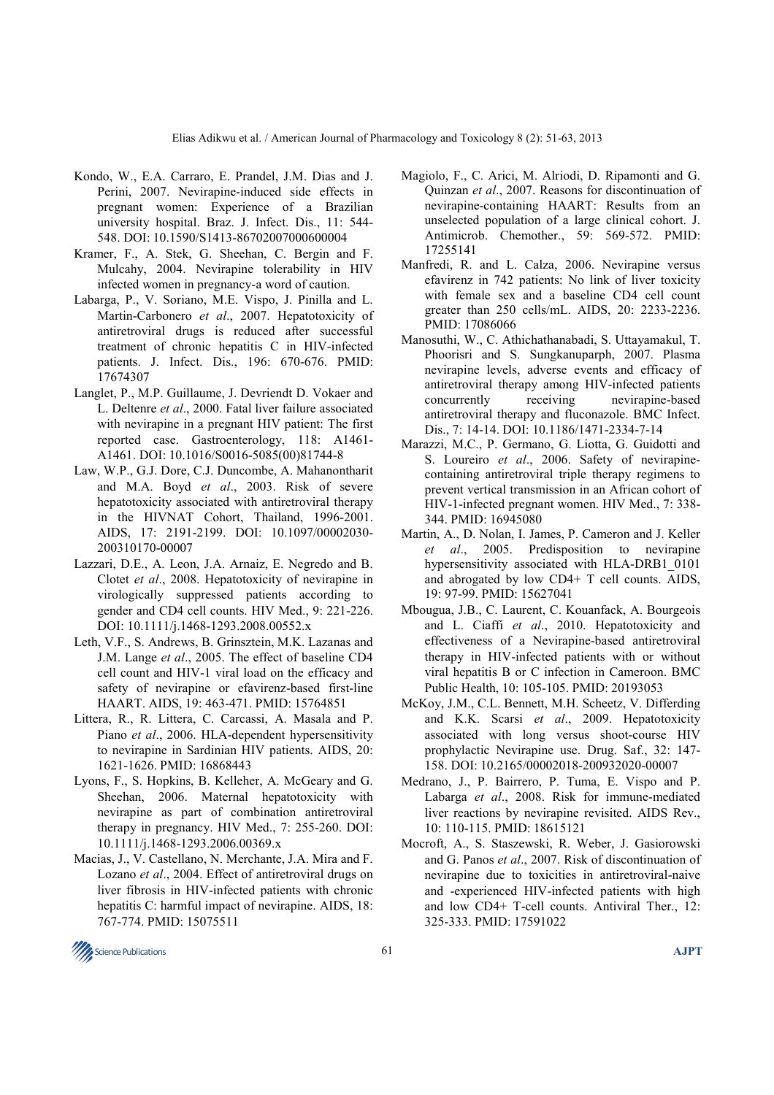- Kondo, W., E.A. Carraro, E. Prandel, J.M. Dias and J. Perini, 2007. Nevirapine-induced side effects in pregnant women: Experience of a Brazilian university hospital. Braz. J. Infect. Dis., 11: 544- 548. DOI: 10.1590/S1413-86702007000600004
- Kramer, F., A. Stek, G. Sheehan, C. Bergin and F. Mulcahy, 2004. Nevirapine tolerability in HIV infected women in pregnancy-a word of caution.
- Labarga, P., V. Soriano, M.E. Vispo, J. Pinilla and L. Martin-Carbonero *et al*., 2007. Hepatotoxicity of antiretroviral drugs is reduced after successful treatment of chronic hepatitis C in HIV-infected patients. J. Infect. Dis., 196: 670-676. PMID: 17674307
- Langlet, P., M.P. Guillaume, J. Devriendt D. Vokaer and L. Deltenre *et al*., 2000. Fatal liver failure associated with nevirapine in a pregnant HIV patient: The first reported case. Gastroenterology, 118: A1461- A1461. DOI: 10.1016/S0016-5085(00)81744-8
- Law, W.P., G.J. Dore, C.J. Duncombe, A. Mahanontharit and M.A. Boyd *et al*., 2003. Risk of severe hepatotoxicity associated with antiretroviral therapy in the HIVNAT Cohort, Thailand, 1996-2001. AIDS, 17: 2191-2199. DOI: 10.1097/00002030- 200310170-00007
- Lazzari, D.E., A. Leon, J.A. Arnaiz, E. Negredo and B. Clotet *et al*., 2008. Hepatotoxicity of nevirapine in virologically suppressed patients according to gender and CD4 cell counts. HIV Med., 9: 221-226. DOI: 10.1111/j.1468-1293.2008.00552.x
- Leth, V.F., S. Andrews, B. Grinsztein, M.K. Lazanas and J.M. Lange *et al*., 2005. The effect of baseline CD4 cell count and HIV-1 viral load on the efficacy and safety of nevirapine or efavirenz-based first-line HAART. AIDS, 19: 463-471. PMID: 15764851
- Littera, R., R. Littera, C. Carcassi, A. Masala and P. Piano *et al*., 2006. HLA-dependent hypersensitivity to nevirapine in Sardinian HIV patients. AIDS, 20: 1621-1626. PMID: 16868443
- Lyons, F., S. Hopkins, B. Kelleher, A. McGeary and G. Sheehan, 2006. Maternal hepatotoxicity with nevirapine as part of combination antiretroviral therapy in pregnancy. HIV Med., 7: 255-260. DOI: 10.1111/j.1468-1293.2006.00369.x
- Macias, J., V. Castellano, N. Merchante, J.A. Mira and F. Lozano *et al*., 2004. Effect of antiretroviral drugs on liver fibrosis in HIV-infected patients with chronic hepatitis C: harmful impact of nevirapine. AIDS, 18: 767-774. PMID: 15075511
- Magiolo, F., C. Arici, M. Alriodi, D. Ripamonti and G. Quinzan *et al*., 2007. Reasons for discontinuation of nevirapine-containing HAART: Results from an unselected population of a large clinical cohort. J. Antimicrob. Chemother., 59: 569-572. PMID: 17255141
- Manfredi, R. and L. Calza, 2006. Nevirapine versus efavirenz in 742 patients: No link of liver toxicity with female sex and a baseline CD4 cell count greater than 250 cells/mL. AIDS, 20: 2233-2236. PMID: 17086066
- Manosuthi, W., C. Athichathanabadi, S. Uttayamakul, T. Phoorisri and S. Sungkanuparph, 2007. Plasma nevirapine levels, adverse events and efficacy of antiretroviral therapy among HIV-infected patients concurrently receiving nevirapine-based antiretroviral therapy and fluconazole. BMC Infect. Dis., 7: 14-14. DOI: 10.1186/1471-2334-7-14
- Marazzi, M.C., P. Germano, G. Liotta, G. Guidotti and S. Loureiro *et al*., 2006. Safety of nevirapinecontaining antiretroviral triple therapy regimens to prevent vertical transmission in an African cohort of HIV-1-infected pregnant women. HIV Med., 7: 338- 344. PMID: 16945080
- Martin, A., D. Nolan, I. James, P. Cameron and J. Keller *et al*., 2005. Predisposition to nevirapine hypersensitivity associated with HLA-DRB1\_0101 and abrogated by low CD4+ T cell counts. AIDS, 19: 97-99. PMID: 15627041
- Mbougua, J.B., C. Laurent, C. Kouanfack, A. Bourgeois and L. Ciaffi *et al*., 2010. Hepatotoxicity and effectiveness of a Nevirapine-based antiretroviral therapy in HIV-infected patients with or without viral hepatitis B or C infection in Cameroon. BMC Public Health, 10: 105-105. PMID: 20193053
- McKoy, J.M., C.L. Bennett, M.H. Scheetz, V. Differding and K.K. Scarsi *et al*., 2009. Hepatotoxicity associated with long versus shoot-course HIV prophylactic Nevirapine use. Drug. Saf., 32: 147- 158. DOI: 10.2165/00002018-200932020-00007
- Medrano, J., P. Bairrero, P. Tuma, E. Vispo and P. Labarga *et al*., 2008. Risk for immune-mediated liver reactions by nevirapine revisited. AIDS Rev., 10: 110-115. PMID: 18615121
- Mocroft, A., S. Staszewski, R. Weber, J. Gasiorowski and G. Panos *et al*., 2007. Risk of discontinuation of nevirapine due to toxicities in antiretroviral-naive and -experienced HIV-infected patients with high and low CD4+ T-cell counts. Antiviral Ther., 12: 325-333. PMID: 17591022

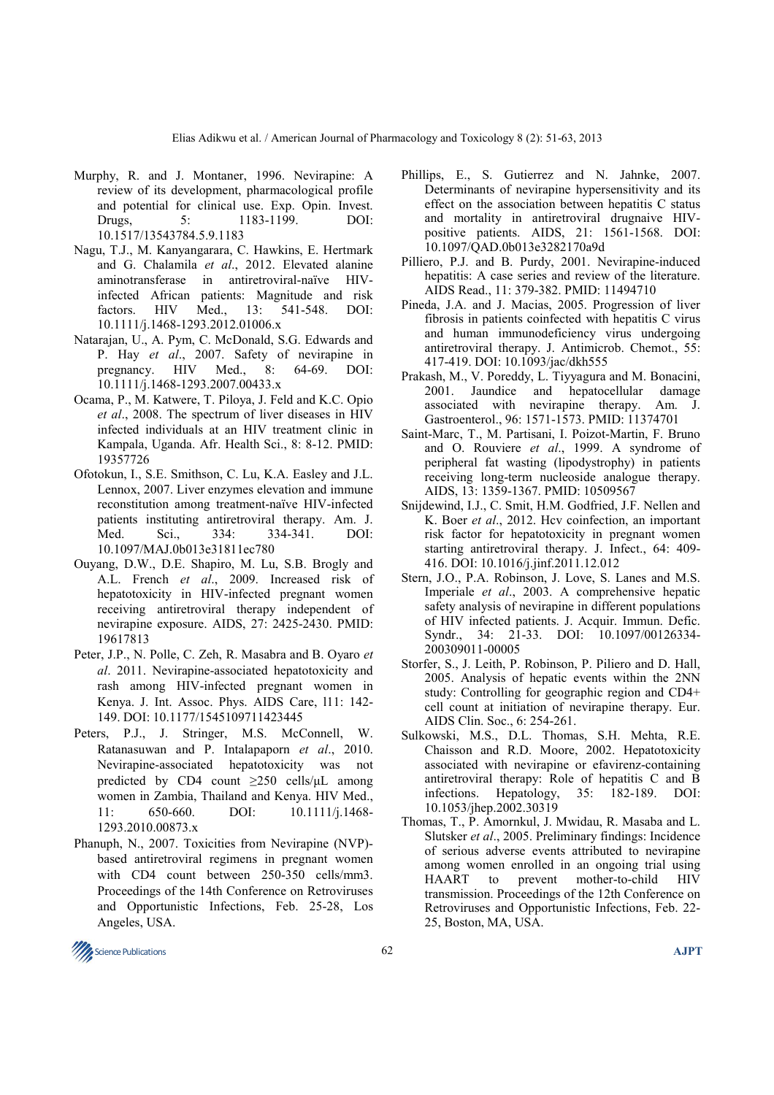- Murphy, R. and J. Montaner, 1996. Nevirapine: A review of its development, pharmacological profile and potential for clinical use. Exp. Opin. Invest.<br>Drugs 5: 1183-1199. DOI: Drugs, 5: 1183-1199. DOI: 10.1517/13543784.5.9.1183
- Nagu, T.J., M. Kanyangarara, C. Hawkins, E. Hertmark and G. Chalamila *et al*., 2012. Elevated alanine aminotransferase in antiretroviral-naïve HIVinfected African patients: Magnitude and risk factors. HIV Med., 13: 541-548. DOI: 10.1111/j.1468-1293.2012.01006.x
- Natarajan, U., A. Pym, C. McDonald, S.G. Edwards and P. Hay *et al.*, 2007. Safety of nevirapine in pregnancy. HIV Med., 8: 64-69. DOI: pregnancy. HIV Med., 8: 64-69. DOI: 10.1111/j.1468-1293.2007.00433.x
- Ocama, P., M. Katwere, T. Piloya, J. Feld and K.C. Opio *et al*., 2008. The spectrum of liver diseases in HIV infected individuals at an HIV treatment clinic in Kampala, Uganda. Afr. Health Sci., 8: 8-12. PMID: 19357726
- Ofotokun, I., S.E. Smithson, C. Lu, K.A. Easley and J.L. Lennox, 2007. Liver enzymes elevation and immune reconstitution among treatment-naïve HIV-infected patients instituting antiretroviral therapy. Am. J.<br>Med. Sci., 334: 334-341. DOI: Med. Sci., 334: 334-341. DOI: 10.1097/MAJ.0b013e31811ec780
- Ouyang, D.W., D.E. Shapiro, M. Lu, S.B. Brogly and A.L. French *et al*., 2009. Increased risk of hepatotoxicity in HIV-infected pregnant women receiving antiretroviral therapy independent of nevirapine exposure. AIDS, 27: 2425-2430. PMID: 19617813
- Peter, J.P., N. Polle, C. Zeh, R. Masabra and B. Oyaro *et al*. 2011. Nevirapine-associated hepatotoxicity and rash among HIV-infected pregnant women in Kenya. J. Int. Assoc. Phys. AIDS Care, l11: 142- 149. DOI: 10.1177/1545109711423445
- Peters, P.J., J. Stringer, M.S. McConnell, W. Ratanasuwan and P. Intalapaporn *et al*., 2010. Nevirapine-associated hepatotoxicity was not predicted by CD4 count  $\geq$ 250 cells/ $\mu$ L among women in Zambia, Thailand and Kenya. HIV Med., 11: 650-660. DOI: 10.1111/j.1468- 1293.2010.00873.x
- Phanuph, N., 2007. Toxicities from Nevirapine (NVP) based antiretroviral regimens in pregnant women with CD4 count between 250-350 cells/mm3. Proceedings of the 14th Conference on Retroviruses and Opportunistic Infections, Feb. 25-28, Los Angeles, USA.
- Phillips, E., S. Gutierrez and N. Jahnke, 2007. Determinants of nevirapine hypersensitivity and its effect on the association between hepatitis C status and mortality in antiretroviral drugnaive HIVpositive patients. AIDS, 21: 1561-1568. DOI: 10.1097/QAD.0b013e3282170a9d
- Pilliero, P.J. and B. Purdy, 2001. Nevirapine-induced hepatitis: A case series and review of the literature. AIDS Read., 11: 379-382. PMID: 11494710
- Pineda, J.A. and J. Macias, 2005. Progression of liver fibrosis in patients coinfected with hepatitis C virus and human immunodeficiency virus undergoing antiretroviral therapy. J. Antimicrob. Chemot., 55: 417-419. DOI: 10.1093/jac/dkh555
- Prakash, M., V. Poreddy, L. Tiyyagura and M. Bonacini, 2001. Jaundice and hepatocellular damage associated with nevirapine therapy. Am. J. Gastroenterol., 96: 1571-1573. PMID: 11374701
- Saint-Marc, T., M. Partisani, I. Poizot-Martin, F. Bruno and O. Rouviere *et al*., 1999. A syndrome of peripheral fat wasting (lipodystrophy) in patients receiving long-term nucleoside analogue therapy. AIDS, 13: 1359-1367. PMID: 10509567
- Snijdewind, I.J., C. Smit, H.M. Godfried, J.F. Nellen and K. Boer *et al*., 2012. Hcv coinfection, an important risk factor for hepatotoxicity in pregnant women starting antiretroviral therapy. J. Infect., 64: 409- 416. DOI: 10.1016/j.jinf.2011.12.012
- Stern, J.O., P.A. Robinson, J. Love, S. Lanes and M.S. Imperiale *et al*., 2003. A comprehensive hepatic safety analysis of nevirapine in different populations of HIV infected patients. J. Acquir. Immun. Defic. Syndr., 34: 21-33. DOI: 10.1097/00126334- 200309011-00005
- Storfer, S., J. Leith, P. Robinson, P. Piliero and D. Hall, 2005. Analysis of hepatic events within the 2NN study: Controlling for geographic region and CD4+ cell count at initiation of nevirapine therapy. Eur. AIDS Clin. Soc., 6: 254-261.
- Sulkowski, M.S., D.L. Thomas, S.H. Mehta, R.E. Chaisson and R.D. Moore, 2002. Hepatotoxicity associated with nevirapine or efavirenz-containing antiretroviral therapy: Role of hepatitis C and B infections. Hepatology, 35: 182-189. DOI: infections. Hepatology, 35: 182-189. DOI: 10.1053/jhep.2002.30319
- Thomas, T., P. Amornkul, J. Mwidau, R. Masaba and L. Slutsker *et al*., 2005. Preliminary findings: Incidence of serious adverse events attributed to nevirapine among women enrolled in an ongoing trial using HAART to prevent mother-to-child HIV transmission. Proceedings of the 12th Conference on Retroviruses and Opportunistic Infections, Feb. 22- 25, Boston, MA, USA.